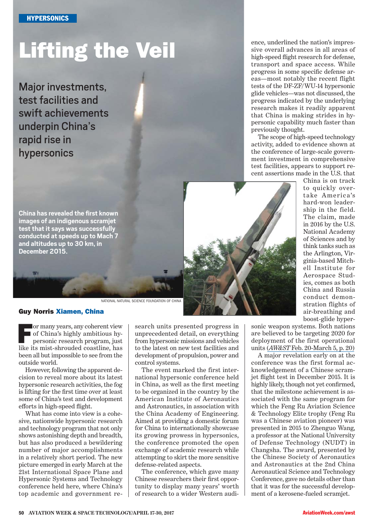# Lifting the Veil

Major investments, test facilities and swift achievements underpin China's rapid rise in hypersonics

ence, underlined the nation's impressive overall advances in all areas of high-speed fight research for defense, transport and space access. While progress in some specifc defense areas—most notably the recent flight tests of the DF-ZF/WU-14 hypersonic glide vehicles—was not discussed, the progress indicated by the underlying research makes it readily apparent that China is making strides in hypersonic capability much faster than previously thought.

The scope of high-speed technology activity, added to evidence shown at the conference of large-scale government investment in comprehensive test facilities, appears to support recent assertions made in the U.S. that

China is on track to quickly overtake America's hard-won leadership in the field. The claim, made in 2016 by the U.S. National Academy of Sciences and by think tanks such as the Arlington, Virginia-based Mitchell Institute for Aerospace Studies, comes as both China and Russia conduct demonstration flights of air-breathing and boost-glide hyper-

**China has revealed the frst known images of an indigenous scramjet test that it says was successfully conducted at speeds up to Mach 7 and altitudes up to 30 km, in December 2015.**

#### Guy Norris Xiamen, China

**For many years, any coherent view**<br>of China's highly ambitious hypersonic research program, just of China's highly ambitious hypersonic research program, just like its mist-shrouded coastline, has been all but impossible to see from the outside world.

However, following the apparent decision to reveal more about its latest hypersonic research activities, the fog is lifting for the frst time over at least some of China's test and development eforts in high-speed fight.

What has come into view is a cohesive, nationwide hypersonic research and technology program that not only shows astonishing depth and breadth, but has also produced a bewildering number of major accomplishments in a relatively short period. The new picture emerged in early March at the 21st International Space Plane and Hypersonic Systems and Technology conference held here, where China's top academic and government research units presented progress in unprecedented detail, on everything from hypersonic missions and vehicles to the latest on new test facilities and development of propulsion, power and control systems.

The event marked the first international hypersonic conference held in China, as well as the frst meeting to be organized in the country by the American Institute of Aeronautics and Astronautics, in association with the China Academy of Engineering. Aimed at providing a domestic forum for China to internationally showcase its growing prowess in hypersonics, the conference promoted the open exchange of academic research while attempting to skirt the more sensitive defense-related aspects.

The conference, which gave many Chinese researchers their frst opportunity to display many years' worth of research to a wider Western audisonic weapon systems. Both nations are believed to be targeting 2020 for deployment of the first operational units (*AW&ST* [Feb. 20-March 5, p. 20\)](http://aviationweek.com/defense/classified-report-hypersonics-says-us-lacking-urgency)

A major revelation early on at the conference was the first formal acknowledgement of a Chinese scramjet fight test in December 2015. It is highly likely, though not yet confrmed, that the milestone achievement is associated with the same program for which the Feng Ru Aviation Science & Technology Elite trophy (Feng Ru was a Chinese aviation pioneer) was presented in 2015 to Zhenguo Wang, a professor at the National University of Defense Technology (NUDT) in Changsha. The award, presented by the Chinese Society of Aeronautics and Astronautics at the 2nd China Aeronautical Science and Technology Conference, gave no details other than that it was for the successful development of a kerosene-fueled scramjet.



NATIONAL NATURAL SCIENCE FOUNDATION OF CHINA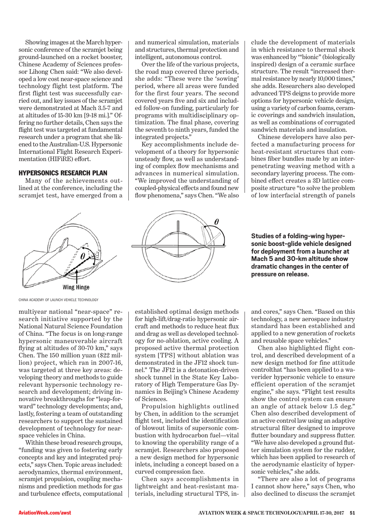Showing images at the March hypersonic conference of the scramjet being ground-launched on a rocket booster, Chinese Academy of Sciences professor Lihong Chen said: "We also developed a low cost near-space science and technology flight test platform. The first flight test was successfully carried out, and key issues of the scramjet were demonstrated at Mach 3.5-7 and at altitudes of 15-30 km [9-18 mi.]." Offering no further details, Chen says the fight test was targeted at fundamental research under a program that she likened to the Australian-U.S. Hypersonic International Flight Research Experimentation (HIFiRE) effort.

#### **HYPERSONICS RESEARCH PLAN**

Many of the achievements outlined at the conference, including the scramjet test, have emerged from a



China aCademy of LaunCh VehiCLe TeChnoLogy

multiyear national "near-space" research initiative supported by the National Natural Science Foundation of China. "The focus is on long-range hypersonic maneuverable aircraft fying at altitudes of 30-70 km," says Chen. The 150 million yuan (\$22 million) project, which ran in 2007-16, was targeted at three key areas: developing theory and methods to guide relevant hypersonic technology research and development; driving innovative breakthroughs for "leap-forward" technology developments; and, lastly, fostering a team of outstanding researchers to support the sustained development of technology for nearspace vehicles in China.

Within these broad research groups, "funding was given to fostering early concepts and key and integrated projects," says Chen. Topic areas included: aerodynamics, thermal environment, scramjet propulsion, coupling mechanisms and prediction methods for gas and turbulence efects, computational and numerical simulation, materials and structures, thermal protection and intelligent, autonomous control.

Over the life of the various projects, the road map covered three periods, she adds: "These were the 'sowing' period, where all areas were funded for the first four years. The second covered years fve and six and included follow-on funding, particularly for programs with multidisciplinary optimization. The fnal phase, covering the seventh to ninth years, funded the integrated projects."

Key accomplishments include development of a theory for hypersonic unsteady fow, as well as understanding of complex fow mechanisms and advances in numerical simulation. "We improved the understanding of coupled-physical efects and found new fow phenomena," says Chen. "We also



established optimal design methods for high-lift/drag-ratio hypersonic aircraft and methods to reduce heat fux and drag as well as developed technology for no-ablation, active cooling. A proposed active thermal protection system [TPS] without ablation was demonstrated in the JF12 shock tunnel." The JF12 is a detonation-driven shock tunnel in the State Key Laboratory of High Temperature Gas Dynamics in Beijing's Chinese Academy of Sciences.

Propulsion highlights outlined by Chen, in addition to the scramjet fight test, included the identifcation of blowout limits of supersonic combustion with hydrocarbon fuel—vital to knowing the operability range of a scramjet. Researchers also proposed a new design method for hypersonic inlets, including a concept based on a curved compression face.

Chen says accomplishments in lightweight and heat-resistant materials, including structural TPS, include the development of materials in which resistance to thermal shock was enhanced by '"bionic" (biologically inspired) design of a ceramic surface structure. The result "increased thermal resistance by nearly 10,000 times," she adds. Researchers also developed advanced TPS deigns to provide more options for hypersonic vehicle design, using a variety of carbon foams, ceramic coverings and sandwich insulation, as well as combinations of corrugated sandwich materials and insulation.

Chinese developers have also perfected a manufacturing process for heat-resistant structures that combines fber bundles made by an interpenetrating weaving method with a secondary layering process. The combined efect creates a 3D lattice composite structure "to solve the problem of low interfacial strength of panels

#### **Studies of a folding-wing hypersonic boost-glide vehicle designed for deployment from a launcher at Mach 5 and 30-km altitude show dramatic changes in the center of pressure on release.**

and cores," says Chen. "Based on this technology, a new aerospace industry standard has been established and applied to a new generation of rockets and reusable space vehicles."

Chen also highlighted flight control, and described development of a new design method for fine attitude controlthat "has been applied to a waverider hypersonic vehicle to ensure efficient operation of the scramjet engine," she says. "Flight test results show the control system can ensure an angle of attack below 1.5 deg." Chen also described development of an active control law using an adaptive structural flter designed to improve futter boundary and suppress futter. "We have also developed a ground futter simulation system for the rudder, which has been applied to research of the aerodynamic elasticity of hypersonic vehicles," she adds.

"There are also a lot of programs I cannot show here," says Chen, who also declined to discuss the scramjet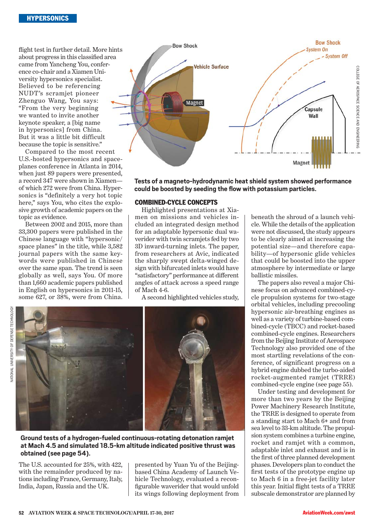fight test in further detail. More hints about progress in this classifed area came from Yancheng You, conference co-chair and a Xiamen University hypersonics specialist. Believed to be referencing NUDT's scramjet pioneer Zhenguo Wang, You says: "From the very beginning we wanted to invite another keynote speaker, a [big name in hypersonics] from China. But it was a little bit difficult because the topic is sensitive."

Compared to the most recent U.S.-hosted hypersonics and spaceplanes conference in Atlanta in 2014, when just 89 papers were presented, a record 347 were shown in Xiamen of which 272 were from China. Hypersonics is "definitely a very hot topic here," says You, who cites the explosive growth of academic papers on the topic as evidence.

Between 2002 and 2015, more than 33,300 papers were published in the Chinese language with "hypersonic/ space planes" in the title, while 3,582 journal papers with the same keywords were published in Chinese over the same span. The trend is seen globally as well, says You. Of more than 1,660 academic papers published in English on hypersonics in 2011-15, some 627, or 38%, were from China.



**Tests of a magneto-hydrodynamic heat shield system showed performance could be boosted by seeding the fow with potassium particles.**

#### Combined-CyCle ConCepts

Highlighted presentations at Xiamen on missions and vehicles included an integrated design method for an adaptable hypersonic dual waverider with twin scramjets fed by two 3D inward-turning inlets. The paper, from researchers at Avic, indicated the sharply swept delta-winged design with bifurcated inlets would have "satisfactory" performance at diferent angles of attack across a speed range of Mach 4-6.

A second highlighted vehicles study,



**Ground tests of a hydrogen-fueled continuous-rotating detonation ramjet at Mach 4.5 and simulated 18.5-km altitude indicated positive thrust was obtained (see page 54).**

The U.S. accounted for 25%, with 422, with the remainder produced by nations including France, Germany, Italy, India, Japan, Russia and the UK.

presented by Yuan Yu of the Beijingbased China Academy of Launch Vehicle Technology, evaluated a reconfgurable waverider that would unfold its wings following deployment from beneath the shroud of a launch vehicle. While the details of the application were not discussed, the study appears to be clearly aimed at increasing the potential size—and therefore capability—of hypersonic glide vehicles that could be boosted into the upper atmosphere by intermediate or large ballistic missiles.

The papers also reveal a major Chinese focus on advanced combined-cycle propulsion systems for two-stage orbital vehicles, including precooling hypersonic air-breathing engines as well as a variety of turbine-based combined-cycle (TBCC) and rocket-based combined-cycle engines. Researchers from the Beijing Institute of Aerospace Technology also provided one of the most startling revelations of the conference, of significant progress on a hybrid engine dubbed the turbo-aided rocket-augmented ramjet (TRRE) combined-cycle engine (see page 55).

Under testing and development for more than two years by the Beijing Power Machinery Research Institute, the TRRE is designed to operate from a standing start to Mach 6**+** and from sea level to 33-km altitude. The propulsion system combines a turbine engine, rocket and ramjet with a common, adaptable inlet and exhaust and is in the frst of three planned development phases. Developers plan to conduct the frst tests of the prototype engine up to Mach 6 in a free-jet facility later this year. Initial fight tests of a TRRE subscale demonstrator are planned by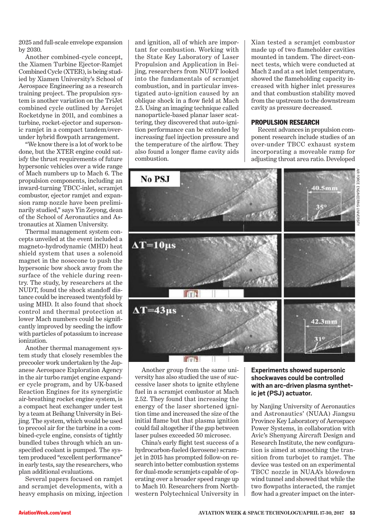2025 and full-scale envelope expansion by 2030.

Another combined-cycle concept, the Xiamen Turbine Ejector-Ramjet Combined Cycle (XTER), is being studied by Xiamen University's School of Aerospace Engineering as a research training project. The propulsion system is another variation on the TriJet combined cycle outlined by Aerojet Rocketdyne in 2011, and combines a turbine, rocket-ejector and supersonic ramjet in a compact tandem/overunder hybrid fowpath arrangement.

"We know there is a lot of work to be done, but the XTER engine could satisfy the thrust requirements of future hypersonic vehicles over a wide range of Mach numbers up to Mach 6. The propulsion components, including an inward-turning TBCC-inlet, scramjet combustor, ejector ramjet and expansion ramp nozzle have been preliminarily studied," says Yin Zeyong, dean of the School of Aeronautics and Astronautics at Xiamen University.

Thermal management system concepts unveiled at the event included a magneto-hydrodynamic (MHD) heat shield system that uses a solenoid magnet in the nosecone to push the hypersonic bow shock away from the surface of the vehicle during reentry. The study, by researchers at the NUDT, found the shock standoff distance could be increased twentyfold by using MHD. It also found that shock control and thermal protection at lower Mach numbers could be signifcantly improved by seeding the infow with particles of potassium to increase ionization.

Another thermal management system study that closely resembles the precooler work undertaken by the Japanese Aerospace Exploration Agency in the air turbo ramjet engine expander cycle program, and by UK-based Reaction Engines for its synergistic air-breathing rocket engine system, is a compact heat exchanger under test by a team at Beihang University in Beijing. The system, which would be used to precool air for the turbine in a combined-cycle engine, consists of tightly bundled tubes through which an unspecifed coolant is pumped. The system produced "excellent performance" in early tests, say the researchers, who plan additional evaluations.

Several papers focused on ramjet and scramjet developments, with a heavy emphasis on mixing, injection and ignition, all of which are important for combustion. Working with the State Key Laboratory of Laser Propulsion and Application in Beijing, researchers from NUDT looked into the fundamentals of scramjet combustion, and in particular investigated auto-ignition caused by an oblique shock in a fow feld at Mach 2.5. Using an imaging technique called nanoparticle-based planar laser scattering, they discovered that auto-ignition performance can be extended by increasing fuel injection pressure and the temperature of the airfow. They also found a longer fame cavity aids combustion.

Xian tested a scramjet combustor made up of two fameholder cavities mounted in tandem. The direct-connect tests, which were conducted at Mach 2 and at a set inlet temperature, showed the fameholding capacity increased with higher inlet pressures and that combustion stability moved from the upstream to the downstream cavity as pressure decreased.

#### PROPULSION RESEARCH

Recent advances in propulsion component research include studies of an over-under TBCC exhaust system incorporating a moveable ramp for adjusting throat area ratio. Developed



Another group from the same university has also studied the use of successive laser shots to ignite ethylene fuel in a scramjet combustor at Mach 2.52. They found that increasing the energy of the laser shortened ignition time and increased the size of the initial fame but that plasma ignition could fail altogether if the gap between laser pulses exceeded 50 microsec.

China's early fight test success of a hydrocarbon-fueled (kerosene) scramjet in 2015 has prompted follow-on research into better combustion systems for dual-mode scramjets capable of operating over a broader speed range up to Mach 10. Researchers from Northwestern Polytechnical University in

#### **Experiments showed supersonic shockwaves could be controlled with an arc-driven plasma synthetic jet (PSJ) actuator.**

by Nanjing University of Aeronautics and Astronautics' (NUAA) Jiangsu Province Key Laboratory of Aerospace Power Systems, in collaboration with Avic's Shenyang Aircraft Design and Research Institute, the new confguration is aimed at smoothing the transition from turbojet to ramjet. The device was tested on an experimental TBCC nozzle in NUAA's blowdown wind tunnel and showed that while the two fowpaths interacted, the ramjet fow had a greater impact on the inter-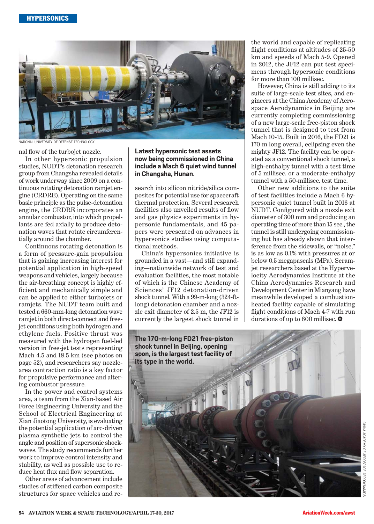

NATIONAL UNIVERSITY OF DEFENSE TECHNOLOGY

nal flow of the turbojet nozzle.

In other hypersonic propulsion studies, NUDT's detonation research group from Changsha revealed details of work underway since 2009 on a continuous rotating detonation ramjet engine (CRDRE). Operating on the same basic principle as the pulse-detonation engine, the CRDRE incorporates an annular combustor, into which propellants are fed axially to produce detonation waves that rotate circumferentially around the chamber.

Continuous rotating detonation is a form of pressure-gain propulsion that is gaining increasing interest for potential application in high-speed weapons and vehicles, largely because the air-breathing concept is highly efficient and mechanically simple and can be applied to either turbojets or ramjets. The NUDT team built and tested a 660-mm-long detonation wave ramjet in both direct-connect and freejet conditions using both hydrogen and ethylene fuels. Positive thrust was measured with the hydrogen fuel-led version in free-jet tests representing Mach 4.5 and 18.5 km (see photos on page 52), and researchers say nozzlearea contraction ratio is a key factor for propulsive performance and altering combustor pressure.

In the power and control systems area, a team from the Xian-based Air Force Engineering University and the School of Electrical Engineering at Xian Jiaotong University, is evaluating the potential application of arc-driven plasma synthetic jets to control the angle and position of supersonic shockwaves. The study recommends further work to improve control intensity and stability, as well as possible use to reduce heat flux and flow separation.

Other areas of advancement include studies of stiffened carbon composite structures for space vehicles and re**Latest hypersonic test assets now being commissioned in China include a Mach 6 quiet wind tunnel in Changsha, Hunan.**

search into silicon nitride/silica composites for potential use for spacecraft thermal protection. Several research facilities also unveiled results of flow and gas physics experiments in hypersonic fundamentals, and 45 papers were presented on advances in hypersonics studies using computational methods.

China's hypersonics initiative is grounded in a vast—and still expanding—nationwide network of test and evaluation facilities, the most notable of which is the Chinese Academy of Sciences' JF12 detonation-driven shock tunnel. With a 99-m-long (324-ftlong) detonation chamber and a nozzle exit diameter of 2.5 m, the JF12 is currently the largest shock tunnel in

the world and capable of replicating flight conditions at altitudes of  $25-50$ km and speeds of Mach 5-9. Opened in 2012, the JF12 can put test specimens through hypersonic conditions for more than 100 millisec.

However, China is still adding to its suite of large-scale test sites, and engineers at the China Academy of Aerospace Aerodynamics in Beijing are currently completing commissioning of a new large-scale free-piston shock tunnel that is designed to test from Mach 10-15. Built in 2016, the FD21 is 170 m long overall, eclipsing even the mighty JF12. The facility can be operated as a conventional shock tunnel, a high-enthalpy tunnel with a test time of 5 millisec. or a moderate-enthalpy tunnel with a 50-millisec. test time.

Other new additions to the suite of test facilities include a Mach 6 hypersonic quiet tunnel built in 2016 at NUDT. Configured with a nozzle exit diameter of 300 mm and producing an operating time of more than 15 sec. , the tunnel is still undergoing commissioning but has already shown that interference from the sidewalls, or "noise," is as low as 0.1% with pressures at or below 0.5 megapascals (MPa). Scramjet researchers based at the Hypervelocity Aerodynamics Institute at the China Aerodynamics Research and Development Center in Mianyang have meanwhile developed a combustionheated facility capable of simulating flight conditions of Mach 4-7 with run durations of up to 600 millisec.  $\bullet$ 

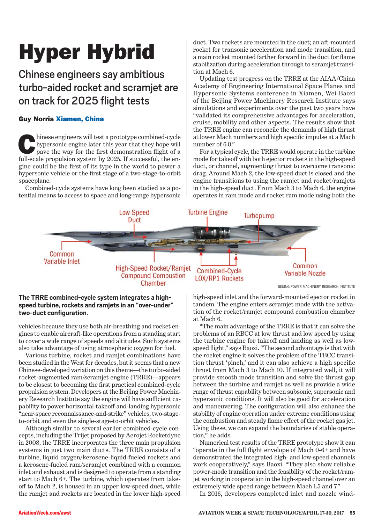# Hyper Hybrid

Chinese engineers say ambitious turbo-aided rocket and scramjet are on track for 2025 fight tests

## Guy Norris Xiamen, China

hinese engineers will test a prototype combined-cycle hypersonic engine later this year that they hope will pave the way for the frst demonstration fight of a full-scale propulsion system by 2025. If successful, the engine could be the frst of its type in the world to power a hypersonic vehicle or the frst stage of a two-stage-to-orbit spaceplane.

Combined-cycle systems have long been studied as a potential means to access to space and long-range hypersonic duct. Two rockets are mounted in the duct; an aft-mounted rocket for transonic acceleration and mode transition, and a main rocket mounted farther forward in the duct for fame stabilization during acceleration through to scramjet transition at Mach 6.

Updating test progress on the TRRE at the AIAA/China Academy of Engineering International Space Planes and Hypersonic Systems conference in Xiamen, Wei Baoxi of the Beijing Power Machinery Research Institute says simulations and experiments over the past two years have "validated its comprehensive advantages for acceleration, cruise, mobility and other aspects. The results show that the TRRE engine can reconcile the demands of high thrust at lower Mach numbers and high specifc impulse at a Mach number of 6.0."

For a typical cycle, the TRRE would operate in the turbine mode for takeoff with both ejector rockets in the high-speed duct, or channel, augmenting thrust to overcome transonic drag. Around Mach 2, the low-speed duct is closed and the engine transitions to using the ramjet and rocket/ramjets in the high-speed duct. From Mach 3 to Mach 6, the engine operates in ram mode and rocket ram mode using both the



### **The TRRE combined-cycle system integrates a highspeed turbine, rockets and ramjets in an "over-under" two-duct confguration.**

vehicles because they use both air-breathing and rocket engines to enable aircraft-like operations from a standing start to cover a wide range of speeds and altitudes. Such systems also take advantage of using atmospheric oxygen for fuel.

Various turbine, rocket and ramjet combinations have been studied in the West for decades, but it seems that a new Chinese-developed variation on this theme—the turbo-aided rocket-augmented ram/scramjet engine (TRRE)—appears to be closest to becoming the frst practical combined-cycle propulsion system. Developers at the Beijing Power Machinery Research Institute say the engine will have sufficient capability to power horizontal-takeof-and-landing hypersonic "near-space reconnaissance-and-strike" vehicles, two-stageto-orbit and even the single-stage-to-orbit vehicles.

Although similar to several earlier combined-cycle concepts, including the Trijet proposed by Aerojet Rocketdyne in 2008, the TRRE incorporates the three main propulsion systems in just two main ducts. The TRRE consists of a turbine, liquid oxygen/kerosene-liquid-fueled rockets and a kerosene-fueled ram/scramjet combined with a common inlet and exhaust and is designed to operate from a standing start to Mach 6+. The turbine, which operates from takeoff to Mach 2, is housed in an upper low-speed duct, while the ramjet and rockets are located in the lower high-speed

high-speed inlet and the forward-mounted ejector rocket in tandem. The engine enters scramjet mode with the activation of the rocket/ramjet compound combustion chamber at Mach 6.

"The main advantage of the TRRE is that it can solve the problems of an RBCC at low thrust and low speed by using the turbine engine for takeoff and landing as well as lowspeed fight," says Baoxi. "The second advantage is that with the rocket engine it solves the problem of the TBCC transition thrust 'pinch,' and it can also achieve a high specifc thrust from Mach 3 to Mach 10. If integrated well, it will provide smooth mode transition and solve the thrust gap between the turbine and ramjet as well as provide a wide range of thrust capability between subsonic, supersonic and hypersonic conditions. It will also be good for acceleration and maneuvering. The confguration will also enhance the stability of engine operation under extreme conditions using the combustion and steady fame efect of the rocket gas jet. Using these, we can expand the boundaries of stable operation," he adds.

Numerical test results of the TRRE prototype show it can "operate in the full fight envelope of Mach 0-6+ and have demonstrated the integrated high- and low-speed channels work cooperatively," says Baoxi. "They also show reliable power-mode transition and the feasibility of the rocket/ramjet working in cooperation in the high-speed channel over an extremely wide speed range between Mach 1.5 and 7."

In 2016, developers completed inlet and nozzle wind-